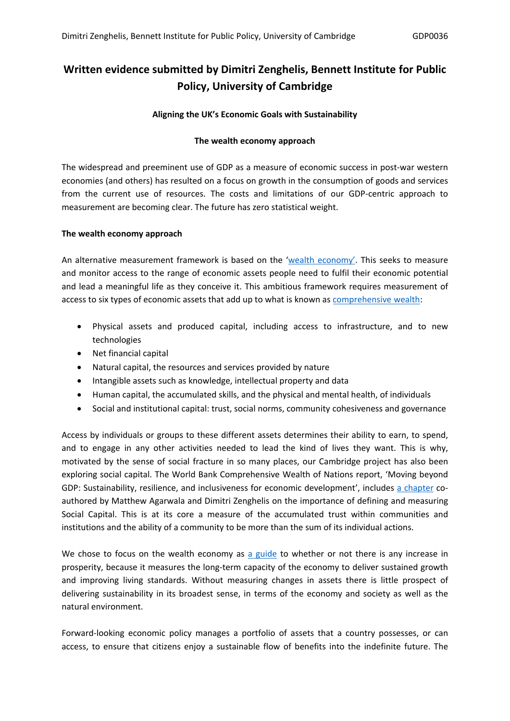# **Written evidence submitted by Dimitri Zenghelis, Bennett Institute for Public Policy, University of Cambridge**

## **Aligning the UK's Economic Goals with Sustainability**

## **The wealth economy approach**

The widespread and preeminent use of GDP as a measure of economic success in post-war western economies (and others) has resulted on a focus on growth in the consumption of goods and services from the current use of resources. The costs and limitations of our GDP-centric approach to measurement are becoming clear. The future has zero statistical weight.

## **The wealth economy approach**

An alternative measurement framework is based on the '[wealth](https://www.bennettinstitute.cam.ac.uk/research/research-projects/wealth-economy-social-and-natural-capital/) [economy'.](https://www.bennettinstitute.cam.ac.uk/research/research-projects/wealth-economy-social-and-natural-capital/) This seeks to measure and monitor access to the range of economic assets people need to fulfil their economic potential and lead a meaningful life as they conceive it. This ambitious framework requires measurement of access to six types of economic assets that add up to what is known as [comprehensive](https://www.worldbank.org/en/publication/changing-wealth-of-nations) [wealth](https://www.worldbank.org/en/publication/changing-wealth-of-nations):

- Physical assets and produced capital, including access to infrastructure, and to new technologies
- Net financial capital
- Natural capital, the resources and services provided by nature
- Intangible assets such as knowledge, intellectual property and data
- Human capital, the accumulated skills, and the physical and mental health, of individuals
- Social and institutional capital: trust, social norms, community cohesiveness and governance

Access by individuals or groups to these different assets determines their ability to earn, to spend, and to engage in any other activities needed to lead the kind of lives they want. This is why, motivated by the sense of social fracture in so many places, our Cambridge project has also been exploring social capital. The World Bank Comprehensive Wealth of Nations report, 'Moving beyond GDP: Sustainability, resilience, and inclusiveness for economic development', includes [a](https://openknowledge.worldbank.org/bitstream/handle/10986/36400/9781464815904_ch15.pdf?sequence=20&isAllowed=y) [chapter](https://openknowledge.worldbank.org/bitstream/handle/10986/36400/9781464815904_ch15.pdf?sequence=20&isAllowed=y) coauthored by Matthew Agarwala and Dimitri Zenghelis on the importance of defining and measuring Social Capital. This is at its core a measure of the accumulated trust within communities and institutions and the ability of a community to be more than the sum of its individual actions.

We chose to focus on the we[a](https://www.bennettinstitute.cam.ac.uk/publications/valuing-wealth-building-prosperity/)lth economy as a [guide](https://www.bennettinstitute.cam.ac.uk/publications/valuing-wealth-building-prosperity/) to whether or not there is any increase in prosperity, because it measures the long-term capacity of the economy to deliver sustained growth and improving living standards. Without measuring changes in assets there is little prospect of delivering sustainability in its broadest sense, in terms of the economy and society as well as the natural environment.

Forward-looking economic policy manages a portfolio of assets that a country possesses, or can access, to ensure that citizens enjoy a sustainable flow of benefits into the indefinite future. The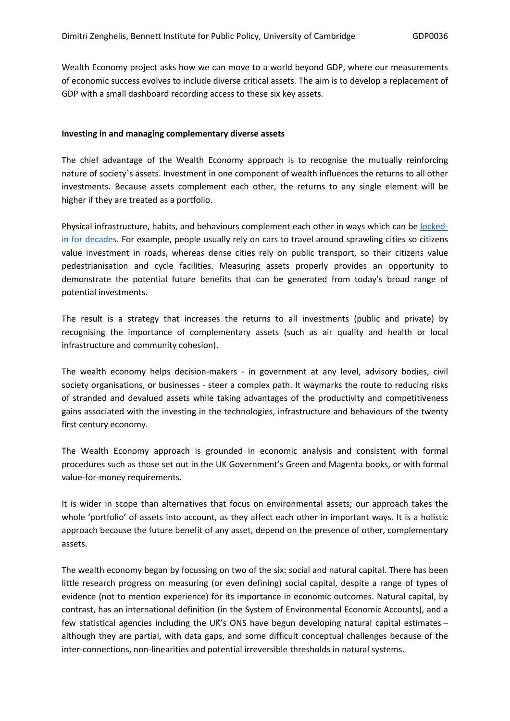Wealth Economy project asks how we can move to a world beyond GDP, where our measurements of economic success evolves to include diverse critical assets. The aim is to develop a replacement of GDP with a small dashboard recording access to these six key assets.

### **Investing in and managing complementary diverse assets**

The chief advantage of the Wealth Economy approach is to recognise the mutually reinforcing nature of society's assets. Investment in one component of wealth influences the returns to all other investments. Because assets complement each other, the returns to any single element will be higher if they are treated as a portfolio.

Physical infrastructure, habits, and behaviours complement each other in ways which can be [locked](https://www.theguardian.com/cities/2015/nov/17/cities-climate-change-problems-solution)[in](https://www.theguardian.com/cities/2015/nov/17/cities-climate-change-problems-solution) [for](https://www.theguardian.com/cities/2015/nov/17/cities-climate-change-problems-solution) [decades](https://www.theguardian.com/cities/2015/nov/17/cities-climate-change-problems-solution). For example, people usually rely on cars to travel around sprawling cities so citizens value investment in roads, whereas dense cities rely on public transport, so their citizens value pedestrianisation and cycle facilities. Measuring assets properly provides an opportunity to demonstrate the potential future benefits that can be generated from today's broad range of potential investments.

The result is a strategy that increases the returns to all investments (public and private) by recognising the importance of complementary assets (such as air quality and health or local infrastructure and community cohesion).

The wealth economy helps decision-makers - in government at any level, advisory bodies, civil society organisations, or businesses - steer a complex path. It waymarks the route to reducing risks of stranded and devalued assets while taking advantages of the productivity and competitiveness gains associated with the investing in the technologies, infrastructure and behaviours of the twenty first century economy.

The Wealth Economy approach is grounded in economic analysis and consistent with formal procedures such as those set out in the UK Government's Green and Magenta books, or with formal value-for-money requirements.

It is wider in scope than alternatives that focus on environmental assets; our approach takes the whole 'portfolio' of assets into account, as they affect each other in important ways. It is a holistic approach because the future benefit of any asset, depend on the presence of other, complementary assets.

The wealth economy began by focussing on two of the six: social and natural capital. There has been little research progress on measuring (or even defining) social capital, despite a range of types of evidence (not to mention experience) for its importance in economic outcomes. Natural capital, by contrast, has an international definition (in the System of Environmental Economic Accounts), and a few statistical agencies including the UK's ONS have begun developing natural capital estimates  $$ although they are partial, with data gaps, and some difficult conceptual challenges because of the inter-connections, non-linearities and potential irreversible thresholds in natural systems.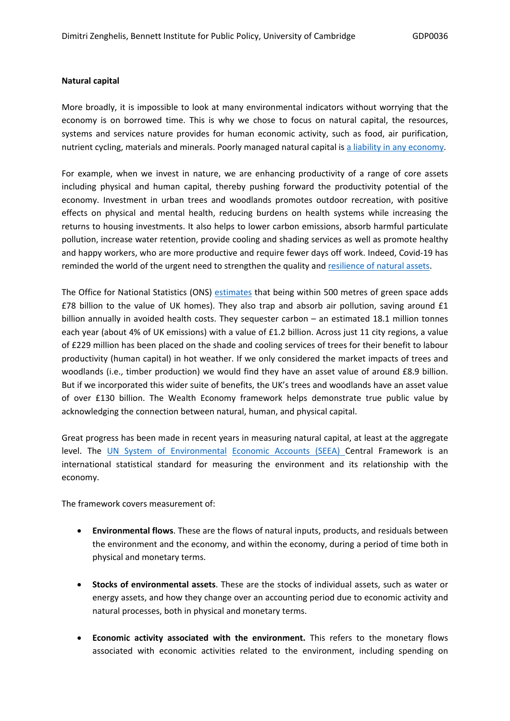### **Natural capital**

More broadly, it is impossible to look at many environmental indicators without worrying that the economy is on borrowed time. This is why we chose to focus on natural capital, the resources, systems and services nature provides for human economic activity, such as food, air purification, nutrient cycling, materials and minerals. Poorly managed natural capital is [a](https://link.springer.com/article/10.1007/s11625-021-00910-5) [liability](https://link.springer.com/article/10.1007/s11625-021-00910-5) [in](https://link.springer.com/article/10.1007/s11625-021-00910-5) [any](https://link.springer.com/article/10.1007/s11625-021-00910-5) [economy](https://link.springer.com/article/10.1007/s11625-021-00910-5).

For example, when we invest in nature, we are enhancing productivity of a range of core assets including physical and human capital, thereby pushing forward the productivity potential of the economy. Investment in urban trees and woodlands promotes outdoor recreation, with positive effects on physical and mental health, reducing burdens on health systems while increasing the returns to housing investments. It also helps to lower carbon emissions, absorb harmful particulate pollution, increase water retention, provide cooling and shading services as well as promote healthy and happy workers, who are more productive and require fewer days off work. Indeed, Covid-19 has reminded the world of the urgent need to strengthen the quality and [resilience](https://ipbes.net/covid19stimulus) [of](https://ipbes.net/covid19stimulus) [natural](https://ipbes.net/covid19stimulus) [assets.](https://ipbes.net/covid19stimulus)

The Office for National Statistics (ONS) [estimates](https://www.ons.gov.uk/economy/environmentalaccounts/articles/valuinggreenspacesinurbanareas/ahedonicpriceapproachusingmachinelearningtechniques) that being within 500 metres of green space adds £78 billion to the value of UK homes). They also trap and absorb air pollution, saving around £1 billion annually in avoided health costs. They sequester carbon – an estimated 18.1 million tonnes each year (about 4% of UK emissions) with a value of £1.2 billion. Across just 11 city regions, a value of £229 million has been placed on the shade and cooling services of trees for their benefit to labour productivity (human capital) in hot weather. If we only considered the market impacts of trees and woodlands (i.e., timber production) we would find they have an asset value of around £8.9 billion. But if we incorporated this wider suite of benefits, the UK's trees and woodlands have an asset value of over £130 billion. The Wealth Economy framework helps demonstrate true public value by acknowledging the connection between natural, human, and physical capital.

Great progress has been made in recent years in measuring natural capital, at least at the aggregate level. The [UN](https://seea.un.org/content/data) [System](https://seea.un.org/content/data) [of](https://seea.un.org/content/data) [Environmental](https://seea.un.org/content/data) [Economic](https://seea.un.org/content/data) [Accounts](https://seea.un.org/content/data) [\(SEEA\)](https://seea.un.org/content/data) Central Framework is an international statistical standard for measuring the environment and its relationship with the economy.

The framework covers measurement of:

- **Environmental flows**. These are the flows of natural inputs, products, and residuals between the environment and the economy, and within the economy, during a period of time both in physical and monetary terms.
- **Stocks of environmental assets**. These are the stocks of individual assets, such as water or energy assets, and how they change over an accounting period due to economic activity and natural processes, both in physical and monetary terms.
- **Economic activity associated with the environment.** This refers to the monetary flows associated with economic activities related to the environment, including spending on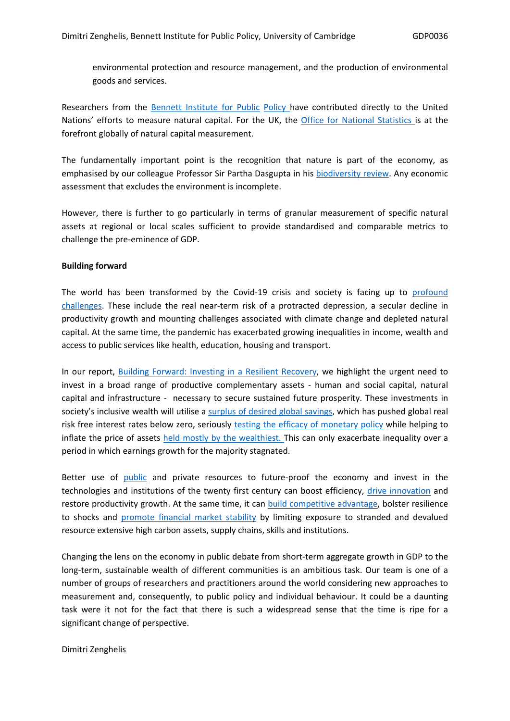environmental protection and resource management, and the production of environmental goods and services.

Researchers from the **[Bennett](https://seea.un.org/content/natural-capital-accounting-sustainable-macroeconomic-strategies) [Institute](https://seea.un.org/content/natural-capital-accounting-sustainable-macroeconomic-strategies) [for](https://seea.un.org/content/natural-capital-accounting-sustainable-macroeconomic-strategies) [Public](https://seea.un.org/content/natural-capital-accounting-sustainable-macroeconomic-strategies) [Policy](https://seea.un.org/content/natural-capital-accounting-sustainable-macroeconomic-strategies)** have contributed directly to the United Nations' efforts to measure natural capital. For the UK, the [Office](https://www.ons.gov.uk/economy/environmentalaccounts/methodologies/naturalcapital) [for](https://www.ons.gov.uk/economy/environmentalaccounts/methodologies/naturalcapital) [National](https://www.ons.gov.uk/economy/environmentalaccounts/methodologies/naturalcapital) [Statistics](https://www.ons.gov.uk/economy/environmentalaccounts/methodologies/naturalcapital) [i](https://www.ons.gov.uk/economy/environmentalaccounts/methodologies/naturalcapital)s at the forefront globally of natural capital measurement.

The fundamentally important point is the recognition that nature is part of the economy, as emphasised by our colleague Professor Sir Partha Dasgupta in his [biodiversity](https://assets.publishing.service.gov.uk/government/uploads/system/uploads/attachment_data/file/957629/Dasgupta_Review_-_Headline_Messages.pdf) [review](https://assets.publishing.service.gov.uk/government/uploads/system/uploads/attachment_data/file/957629/Dasgupta_Review_-_Headline_Messages.pdf). Any economic assessment that excludes the environment is incomplete.

However, there is further to go particularly in terms of granular measurement of specific natural assets at regional or local scales sufficient to provide standardised and comparable metrics to challenge the pre-eminence of GDP.

### **Building forward**

The world has been transformed by the Covid-19 crisis and society is facing up to [profound](https://academic.oup.com/oxrep/article/36/Supplement_1/S359/5832003) [challenges.](https://academic.oup.com/oxrep/article/36/Supplement_1/S359/5832003) These include the real near-term risk of a protracted depression, a secular decline in productivity growth and mounting challenges associated with climate change and depleted natural capital. At the same time, the pandemic has exacerbated growing inequalities in income, wealth and access to public services like health, education, housing and transport.

In our report, [Building](https://www.bennettinstitute.cam.ac.uk/publications/building-forward-investing-resilient-recovery/) [Forward:](https://www.bennettinstitute.cam.ac.uk/publications/building-forward-investing-resilient-recovery/) [Investing](https://www.bennettinstitute.cam.ac.uk/publications/building-forward-investing-resilient-recovery/) [in](https://www.bennettinstitute.cam.ac.uk/publications/building-forward-investing-resilient-recovery/) [a](https://www.bennettinstitute.cam.ac.uk/publications/building-forward-investing-resilient-recovery/) [Resilient](https://www.bennettinstitute.cam.ac.uk/publications/building-forward-investing-resilient-recovery/) [Recovery,](https://www.bennettinstitute.cam.ac.uk/publications/building-forward-investing-resilient-recovery/) we highlight the urgent need to invest in a broad range of productive complementary assets - human and social capital, natural capital and infrastructure - necessary to secure sustained future prosperity. These investments in society's inclusive wealth will utilise a [surplus](https://www.bankofengland.co.uk/working-paper/2015/secular-drivers-of-the-global-real-interest-rate) [of](https://www.bankofengland.co.uk/working-paper/2015/secular-drivers-of-the-global-real-interest-rate) [desired](https://www.bankofengland.co.uk/working-paper/2015/secular-drivers-of-the-global-real-interest-rate) [global](https://www.bankofengland.co.uk/working-paper/2015/secular-drivers-of-the-global-real-interest-rate) [savings](https://www.bankofengland.co.uk/working-paper/2015/secular-drivers-of-the-global-real-interest-rate), which has pushed global real risk free interest rates below zero, seriously [testing](https://www.weforum.org/agenda/2016/10/the-link-between-inequality-and-saving/) [the](https://www.weforum.org/agenda/2016/10/the-link-between-inequality-and-saving/) [efficacy](https://www.weforum.org/agenda/2016/10/the-link-between-inequality-and-saving/) [of](https://www.weforum.org/agenda/2016/10/the-link-between-inequality-and-saving/) [monetary](https://www.weforum.org/agenda/2016/10/the-link-between-inequality-and-saving/) [policy](https://www.weforum.org/agenda/2016/10/the-link-between-inequality-and-saving/) while helping to inflate the price of assets [held](https://ideas.repec.org/p/red/sed017/1567.html) [mostly](https://ideas.repec.org/p/red/sed017/1567.html) [by](https://ideas.repec.org/p/red/sed017/1567.html) [the](https://ideas.repec.org/p/red/sed017/1567.html) [wealthiest.](https://ideas.repec.org/p/red/sed017/1567.html) This can only exacerbate inequality over a period in which earnings growth for the majority stagnated.

Better use of [public](https://www.lse.ac.uk/granthaminstitute/publication/fiscal-responsibility-in-advanced-economies-through-investment-for-economic-recovery-from-the-covid-19-pandemic/) and private resources to future-proof the economy and invest in the technologies and institutions of the twenty first century can boost efficiency, [drive](https://www.productivity.ac.uk/publications/productivity-opportunities-and-risks-in-a-transformative-low-carbon-and-digital-age/) [innovation](https://www.productivity.ac.uk/publications/productivity-opportunities-and-risks-in-a-transformative-low-carbon-and-digital-age/) and restore productivity growth. At the same time, it can [build](https://www.bennettinstitute.cam.ac.uk/blog/climate-action-opportunity/) [competitive](https://www.bennettinstitute.cam.ac.uk/blog/climate-action-opportunity/) [advantage,](https://www.bennettinstitute.cam.ac.uk/blog/climate-action-opportunity/) bolster resilience to shocks and [promote](https://www.cambridge.org/core/journals/national-institute-economic-review/article/climate-change-and-fiscal-sustainability-risks-and-opportunities/17671C36B7066012DF999BB4B073CE5D) [financial](https://www.cambridge.org/core/journals/national-institute-economic-review/article/climate-change-and-fiscal-sustainability-risks-and-opportunities/17671C36B7066012DF999BB4B073CE5D) [market](https://www.cambridge.org/core/journals/national-institute-economic-review/article/climate-change-and-fiscal-sustainability-risks-and-opportunities/17671C36B7066012DF999BB4B073CE5D) [stability](https://www.cambridge.org/core/journals/national-institute-economic-review/article/climate-change-and-fiscal-sustainability-risks-and-opportunities/17671C36B7066012DF999BB4B073CE5D) by limiting exposure to stranded and devalued resource extensive high carbon assets, supply chains, skills and institutions.

Changing the lens on the economy in public debate from short-term aggregate growth in GDP to the long-term, sustainable wealth of different communities is an ambitious task. Our team is one of a number of groups of researchers and practitioners around the world considering new approaches to measurement and, consequently, to public policy and individual behaviour. It could be a daunting task were it not for the fact that there is such a widespread sense that the time is ripe for a significant change of perspective.

Dimitri Zenghelis